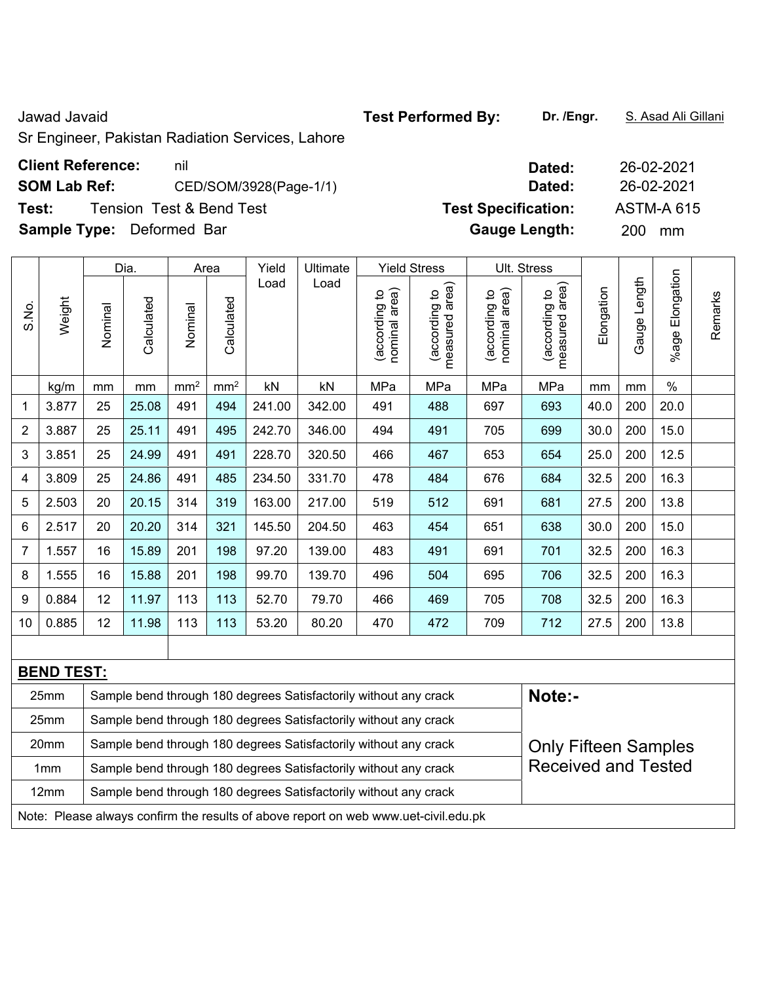Jawad Javaid **Test Performed By: Dr. /Engr.** S. Asad Ali Gillani

Sr Engineer, Pakistan Radiation Services, Lahore

## **Client Reference:** nil **SOM Lab Ref:** CED/SOM/3928(Page-1/1) **Test: Tension Test & Bend Test <b>Specifical** Specification: **Test Specification:**  $\mathbf{T}$

**Sample Type:** Deformed Bar

|                                                                          |        |         | Dia.       |                 | Area            | Yield  | Ultimate                                                         |                                   | <b>Yield Stress</b>             |                                | Ult. Stress                     |            |              |                    |         |
|--------------------------------------------------------------------------|--------|---------|------------|-----------------|-----------------|--------|------------------------------------------------------------------|-----------------------------------|---------------------------------|--------------------------------|---------------------------------|------------|--------------|--------------------|---------|
| S.No.                                                                    | Weight | Nominal | Calculated | Nominal         | Calculated      | Load   | Load                                                             | area)<br>(according to<br>nominal | measured area)<br>(according to | nominal area)<br>(according to | measured area)<br>(according to | Elongation | Gauge Length | Elongation<br>%age | Remarks |
|                                                                          | kg/m   | mm      | mm         | mm <sup>2</sup> | mm <sup>2</sup> | kN     | kN                                                               | MPa                               | MPa                             | MPa                            | MPa                             | mm         | mm           | $\%$               |         |
| 1                                                                        | 3.877  | 25      | 25.08      | 491             | 494             | 241.00 | 342.00                                                           | 491                               | 488                             | 697                            | 693                             | 40.0       | 200          | 20.0               |         |
| $\overline{2}$                                                           | 3.887  | 25      | 25.11      | 491             | 495             | 242.70 | 346.00                                                           | 494                               | 491                             | 705                            | 699                             | 30.0       | 200          | 15.0               |         |
| 3                                                                        | 3.851  | 25      | 24.99      | 491             | 491             | 228.70 | 320.50                                                           | 466                               | 467                             | 653                            | 654                             | 25.0       | 200          | 12.5               |         |
| 4                                                                        | 3.809  | 25      | 24.86      | 491             | 485             | 234.50 | 331.70                                                           | 478                               | 484                             | 676                            | 684                             | 32.5       | 200          | 16.3               |         |
| 5                                                                        | 2.503  | 20      | 20.15      | 314             | 319             | 163.00 | 217.00                                                           | 519                               | 512                             | 691                            | 681                             | 27.5       | 200          | 13.8               |         |
| 6                                                                        | 2.517  | 20      | 20.20      | 314             | 321             | 145.50 | 204.50                                                           | 463                               | 454                             | 651                            | 638                             | 30.0       | 200          | 15.0               |         |
| 7                                                                        | 1.557  | 16      | 15.89      | 201             | 198             | 97.20  | 139.00                                                           | 483                               | 491                             | 691                            | 701                             | 32.5       | 200          | 16.3               |         |
| 8                                                                        | 1.555  | 16      | 15.88      | 201             | 198             | 99.70  | 139.70                                                           | 496                               | 504                             | 695                            | 706                             | 32.5       | 200          | 16.3               |         |
| 9                                                                        | 0.884  | 12      | 11.97      | 113             | 113             | 52.70  | 79.70                                                            | 466                               | 469                             | 705                            | 708                             | 32.5       | 200          | 16.3               |         |
| 10                                                                       | 0.885  | 12      | 11.98      | 113             | 113             | 53.20  | 80.20                                                            | 470                               | 472                             | 709                            | 712                             | 27.5       | 200          | 13.8               |         |
|                                                                          |        |         |            |                 |                 |        |                                                                  |                                   |                                 |                                |                                 |            |              |                    |         |
| <b>BEND TEST:</b>                                                        |        |         |            |                 |                 |        |                                                                  |                                   |                                 |                                |                                 |            |              |                    |         |
| 25mm<br>Sample bend through 180 degrees Satisfactorily without any crack |        |         |            |                 |                 |        |                                                                  |                                   |                                 |                                | Note:-                          |            |              |                    |         |
|                                                                          | 25mm   |         |            |                 |                 |        | Sample bend through 180 degrees Satisfactorily without any crack |                                   |                                 |                                |                                 |            |              |                    |         |
|                                                                          | 20mm   |         |            |                 |                 |        | Sample hend through 180 degrees Satisfactorily without any crack |                                   |                                 |                                | Only Eiftson Comples            |            |              |                    |         |

| 20 <sub>mm</sub> | Sample bend through 180 degrees Satisfactorily without any crack                    | <b>Only Fifteen Samples</b> |
|------------------|-------------------------------------------------------------------------------------|-----------------------------|
| 1 <sub>mm</sub>  | Sample bend through 180 degrees Satisfactorily without any crack                    | <b>Received and Tested</b>  |
| 12 <sub>mm</sub> | Sample bend through 180 degrees Satisfactorily without any crack                    |                             |
|                  | Note: Please always confirm the results of above report on web www.uet-civil.edu.pk |                             |

| Dated:               | 26-02-2021        |
|----------------------|-------------------|
| Dated:               | 26-02-2021        |
| est Specification:   | <b>ASTM-A 615</b> |
| <b>Gauge Length:</b> | 200<br>mm         |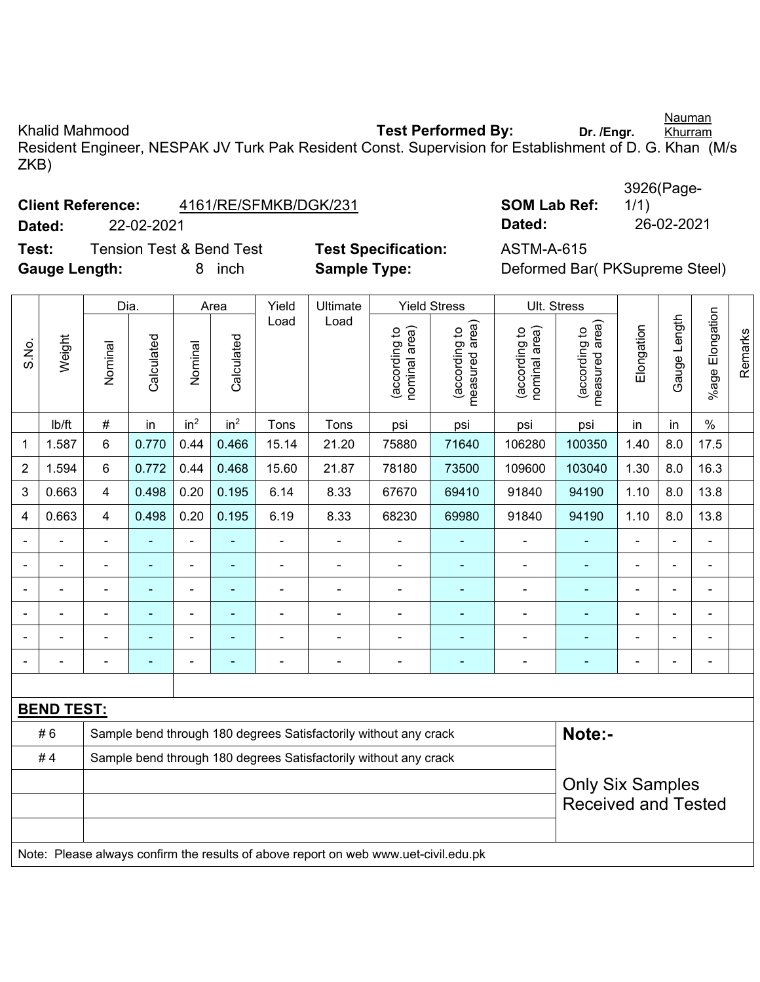Nauman

Khalid Mahmood **Test Performed By:** Dr. /Engr. Khurram Resident Engineer, NESPAK JV Turk Pak Resident Const. Supervision for Establishment of D. G. Khan (M/s ZKB)

| <b>Client Reference:</b> | 4161/RE/SFMKB/DGK/231 | <b>SOM Lab Ref:</b> |
|--------------------------|-----------------------|---------------------|
|--------------------------|-----------------------|---------------------|

**Dated:** 22-02-2021 **Dated:** 26-02-2021

**Test:** Tension Test & Bend Test **Test Specification:** ASTM-A-615 Gauge Length: **8** inch **Sample Type:** Deformed Bar( PKSupreme Steel)

|            | 3926(Page- |
|------------|------------|
| M Lab Ref: | 1/1)       |
| ted:       | 26-02-202  |

|                |                                                                                     | Dia.           |                |                 | Area            | Yield          | Ultimate                                                         |                               | <b>Yield Stress</b>             |                                | Ult. Stress                     |                |                          |                 |         |
|----------------|-------------------------------------------------------------------------------------|----------------|----------------|-----------------|-----------------|----------------|------------------------------------------------------------------|-------------------------------|---------------------------------|--------------------------------|---------------------------------|----------------|--------------------------|-----------------|---------|
| S.No.          | Weight                                                                              | Nominal        | Calculated     | Nominal         | Calculated      | Load           | Load                                                             | nominal area)<br>according to | measured area)<br>(according to | nominal area)<br>(according to | (according to<br>measured area) | Elongation     | Gauge Length             | %age Elongation | Remarks |
|                | Ib/ft                                                                               | #              | in             | in <sup>2</sup> | in <sup>2</sup> | Tons           | Tons                                                             | psi                           | psi                             | psi                            | psi                             | in             | in                       | $\%$            |         |
| 1              | 1.587                                                                               | 6              | 0.770          | 0.44            | 0.466           | 15.14          | 21.20                                                            | 75880                         | 71640                           | 106280                         | 100350                          | 1.40           | 8.0                      | 17.5            |         |
| $\overline{2}$ | 1.594                                                                               | 6              | 0.772          | 0.44            | 0.468           | 15.60          | 21.87                                                            | 78180                         | 73500                           | 109600                         | 103040                          | 1.30           | 8.0                      | 16.3            |         |
| 3              | 0.663                                                                               | 4              | 0.498          | 0.20            | 0.195           | 6.14           | 8.33                                                             | 67670                         | 69410                           | 91840                          | 94190                           | 1.10           | 8.0                      | 13.8            |         |
| 4              | 0.663                                                                               | 4              | 0.498          | 0.20            | 0.195           | 6.19           | 8.33                                                             | 68230                         | 69980                           | 91840                          | 94190                           | 1.10           | 8.0                      | 13.8            |         |
|                |                                                                                     |                |                | $\blacksquare$  |                 |                |                                                                  | ä,                            |                                 |                                |                                 |                |                          |                 |         |
|                |                                                                                     | ÷              | $\blacksquare$ | $\blacksquare$  | ٠               | $\blacksquare$ | $\blacksquare$                                                   | ۰                             | $\blacksquare$                  | $\blacksquare$                 | ٠                               | $\blacksquare$ | $\blacksquare$           | $\blacksquare$  |         |
|                |                                                                                     | ÷              | ÷              | $\blacksquare$  | ٠               | $\blacksquare$ |                                                                  | $\blacksquare$                | ۰                               | $\blacksquare$                 | $\blacksquare$                  | $\blacksquare$ | $\overline{\phantom{a}}$ | $\blacksquare$  |         |
|                | ÷,                                                                                  | $\blacksquare$ | ä,             | ÷,              | ä,              | $\blacksquare$ |                                                                  | ÷,                            | ÷                               | ÷,                             |                                 | ä,             | ä,                       | $\blacksquare$  |         |
|                |                                                                                     |                |                | $\blacksquare$  | $\blacksquare$  | ä,             |                                                                  | $\blacksquare$                |                                 | ÷                              |                                 |                |                          | ÷               |         |
|                |                                                                                     |                |                |                 |                 |                |                                                                  | ÷                             |                                 |                                |                                 |                |                          | ä,              |         |
|                |                                                                                     |                |                |                 |                 |                |                                                                  |                               |                                 |                                |                                 |                |                          |                 |         |
|                | <b>BEND TEST:</b>                                                                   |                |                |                 |                 |                |                                                                  |                               |                                 |                                |                                 |                |                          |                 |         |
|                | #6                                                                                  |                |                |                 |                 |                | Sample bend through 180 degrees Satisfactorily without any crack |                               |                                 |                                | Note:-                          |                |                          |                 |         |
|                | #4                                                                                  |                |                |                 |                 |                | Sample bend through 180 degrees Satisfactorily without any crack |                               |                                 |                                |                                 |                |                          |                 |         |
|                |                                                                                     |                |                |                 |                 |                |                                                                  |                               |                                 |                                | <b>Only Six Samples</b>         |                |                          |                 |         |
|                |                                                                                     |                |                |                 |                 |                |                                                                  |                               |                                 |                                | <b>Received and Tested</b>      |                |                          |                 |         |
|                |                                                                                     |                |                |                 |                 |                |                                                                  |                               |                                 |                                |                                 |                |                          |                 |         |
|                | Note: Please always confirm the results of above report on web www.uet-civil.edu.pk |                |                |                 |                 |                |                                                                  |                               |                                 |                                |                                 |                |                          |                 |         |